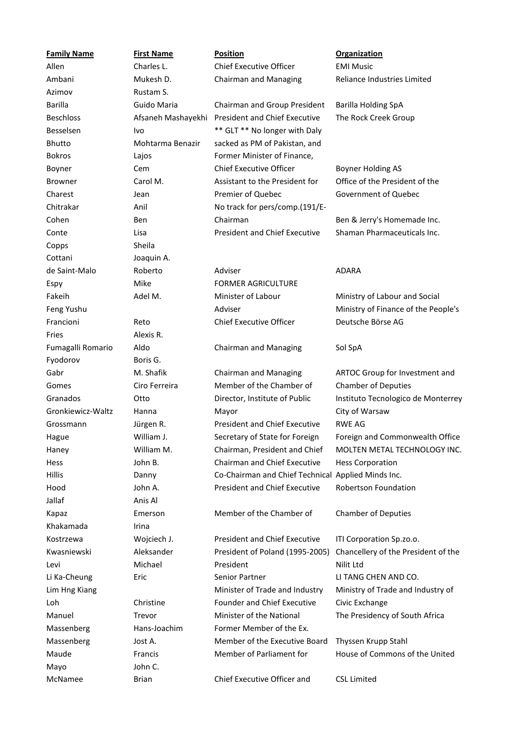| <b>Family Name</b> | <b>First Name</b>  | <b>Position</b>                                    | <b>Organization</b>                 |
|--------------------|--------------------|----------------------------------------------------|-------------------------------------|
| Allen              | Charles L.         | <b>Chief Executive Officer</b>                     | <b>EMI Music</b>                    |
| Ambani             | Mukesh D.          | Chairman and Managing                              | Reliance Industries Limited         |
| Azimov             | Rustam S.          |                                                    |                                     |
| <b>Barilla</b>     | Guido Maria        | Chairman and Group President                       | <b>Barilla Holding SpA</b>          |
| <b>Beschloss</b>   | Afsaneh Mashayekhi | <b>President and Chief Executive</b>               | The Rock Creek Group                |
| Besselsen          | Ivo                | ** GLT ** No longer with Daly                      |                                     |
| Bhutto             | Mohtarma Benazir   | sacked as PM of Pakistan, and                      |                                     |
| <b>Bokros</b>      | Lajos              | Former Minister of Finance,                        |                                     |
| Boyner             | Cem                | <b>Chief Executive Officer</b>                     | <b>Boyner Holding AS</b>            |
| <b>Browner</b>     | Carol M.           | Assistant to the President for                     | Office of the President of the      |
| Charest            | Jean               | Premier of Quebec                                  | Government of Quebec                |
| Chitrakar          | Anil               | No track for pers/comp.(191/E-                     |                                     |
| Cohen              | Ben                | Chairman                                           | Ben & Jerry's Homemade Inc.         |
| Conte              | Lisa               | <b>President and Chief Executive</b>               | Shaman Pharmaceuticals Inc.         |
| Copps              | Sheila             |                                                    |                                     |
| Cottani            | Joaquin A.         |                                                    |                                     |
| de Saint-Malo      | Roberto            | Adviser                                            | <b>ADARA</b>                        |
| Espy               | Mike               | <b>FORMER AGRICULTURE</b>                          |                                     |
| Fakeih             | Adel M.            | Minister of Labour                                 | Ministry of Labour and Social       |
| Feng Yushu         |                    | Adviser                                            | Ministry of Finance of the People's |
| Francioni          | Reto               | <b>Chief Executive Officer</b>                     | Deutsche Börse AG                   |
| Fries              | Alexis R.          |                                                    |                                     |
| Fumagalli Romario  | Aldo               | Chairman and Managing                              | Sol SpA                             |
| Fyodorov           | Boris G.           |                                                    |                                     |
| Gabr               | M. Shafik          | <b>Chairman and Managing</b>                       | ARTOC Group for Investment and      |
| Gomes              | Ciro Ferreira      | Member of the Chamber of                           | <b>Chamber of Deputies</b>          |
| Granados           | Otto               | Director, Institute of Public                      | Instituto Tecnologico de Monterrey  |
| Gronkiewicz-Waltz  | Hanna              | Mayor                                              | City of Warsaw                      |
| Grossmann          | Jürgen R.          | <b>President and Chief Executive</b>               | <b>RWE AG</b>                       |
| Hague              | William J.         | Secretary of State for Foreign                     | Foreign and Commonwealth Office     |
| Haney              | William M.         | Chairman, President and Chief                      | MOLTEN METAL TECHNOLOGY INC.        |
| Hess               | John B.            | Chairman and Chief Executive                       | <b>Hess Corporation</b>             |
| <b>Hillis</b>      | Danny              | Co-Chairman and Chief Technical Applied Minds Inc. |                                     |
| Hood               | John A.            | <b>President and Chief Executive</b>               | <b>Robertson Foundation</b>         |
| Jallaf             | Anis Al            |                                                    |                                     |
| Kapaz              | Emerson            | Member of the Chamber of                           | <b>Chamber of Deputies</b>          |
| Khakamada          | Irina              |                                                    |                                     |
| Kostrzewa          | Wojciech J.        | <b>President and Chief Executive</b>               | ITI Corporation Sp.zo.o.            |
| Kwasniewski        | Aleksander         | President of Poland (1995-2005)                    | Chancellery of the President of the |
| Levi               | Michael            | President                                          | Nilit Ltd                           |
| Li Ka-Cheung       | Eric               | Senior Partner                                     | LI TANG CHEN AND CO.                |
| Lim Hng Kiang      |                    | Minister of Trade and Industry                     | Ministry of Trade and Industry of   |
| Loh                | Christine          | <b>Founder and Chief Executive</b>                 | Civic Exchange                      |
| Manuel             | Trevor             | Minister of the National                           | The Presidency of South Africa      |
| Massenberg         | Hans-Joachim       | Former Member of the Ex.                           |                                     |
| Massenberg         | Jost A.            | Member of the Executive Board                      | Thyssen Krupp Stahl                 |
| Maude              | Francis            | Member of Parliament for                           | House of Commons of the United      |
| Mayo               | John C.            |                                                    |                                     |
| McNamee            | <b>Brian</b>       | Chief Executive Officer and                        | <b>CSL Limited</b>                  |